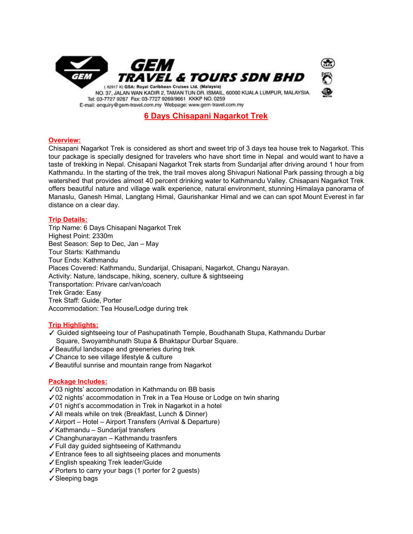

# **6 Days Chisapani Nagarkot Trek**

## **Overview:**

Chisapani Nagarkot Trek is considered as short and sweet trip of 3 days tea house trek to Nagarkot. This tour package is specially designed for travelers who have short time in Nepal and would want to have a taste of trekking in Nepal. Chisapani Nagarkot Trek starts from Sundarijal after driving around 1 hour from Kathmandu. In the starting of the trek, the trail moves along Shivapuri National Park passing through a big watershed that provides almost 40 percent drinking water to Kathmandu Valley. Chisapani Nagarkot Trek offers beautiful nature and village walk experience, natural environment, stunning Himalaya panorama of Manaslu, Ganesh Himal, Langtang Himal, Gaurishankar Himal and we can can spot Mount Everest in far distance on a clear day.

#### **Trip Details:**

Trip Name: 6 Days Chisapani Nagarkot Trek Highest Point: 2330m Best Season: Sep to Dec, Jan – May Tour Starts: Kathmandu Tour Ends: Kathmandu Places Covered: Kathmandu, Sundarijal, Chisapani, Nagarkot, Changu Narayan. Activity: Nature, landscape, hiking, scenery, culture & sightseeing Transportation: Privare car/van/coach Trek Grade: Easy Trek Staff: Guide, Porter Accommodation: Tea House/Lodge during trek

## **Trip Highlights:**

- ✓ Guided sightseeing tour of Pashupatinath Temple, Boudhanath Stupa, Kathmandu Durbar Square, Swoyambhunath Stupa & Bhaktapur Durbar Square.
- ✓Beautiful landscape and greeneries during trek
- ✓Chance to see village lifestyle & culture
- ✓Beautiful sunrise and mountain range from Nagarkot

#### **Package Includes:**

- ✓03 nights' accommodation in Kathmandu on BB basis
- ✓02 nights' accommodation in Trek in a Tea House or Lodge on twin sharing
- ✓01 night's accommodation in Trek in Nagarkot in a hotel
- ✓All meals while on trek (Breakfast, Lunch & Dinner)
- ✓Airport Hotel Airport Transfers (Arrival & Departure)
- ✓Kathmandu Sundarijal transfers
- ✓Changhunarayan Kathmandu trasnfers
- ✓Full day guided sightseeing of Kathmandu
- ✓Entrance fees to all sightseeing places and monuments
- ✓English speaking Trek leader/Guide
- ✓Porters to carry your bags (1 porter for 2 guests)
- ✓Sleeping bags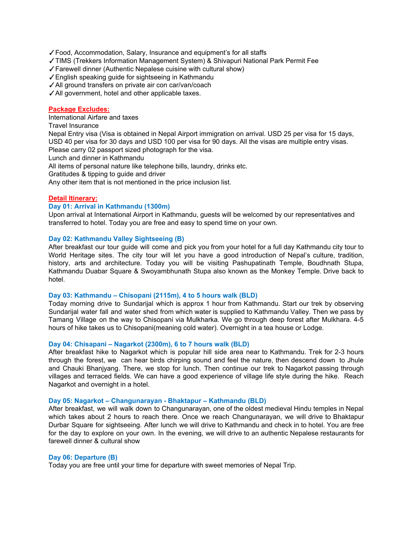✓Food, Accommodation, Salary, Insurance and equipment's for all staffs

✓TIMS (Trekkers Information Management System) & Shivapuri National Park Permit Fee

✓Farewell dinner (Authentic Nepalese cuisine with cultural show)

✓English speaking guide for sightseeing in Kathmandu

✓All ground transfers on private air con car/van/coach

✓All government, hotel and other applicable taxes.

## **Package Excludes:**

International Airfare and taxes

Travel Insurance

Nepal Entry visa (Visa is obtained in Nepal Airport immigration on arrival. USD 25 per visa for 15 days, USD 40 per visa for 30 days and USD 100 per visa for 90 days. All the visas are multiple entry visas. Please carry 02 passport sized photograph for the visa.

Lunch and dinner in Kathmandu

All items of personal nature like telephone bills, laundry, drinks etc.

Gratitudes & tipping to guide and driver

Any other item that is not mentioned in the price inclusion list.

#### **Detail Itinerary:**

#### **Day 01: Arrival in Kathmandu (1300m)**

Upon arrival at International Airport in Kathmandu, guests will be welcomed by our representatives and transferred to hotel. Today you are free and easy to spend time on your own.

#### **Day 02: Kathmandu Valley Sightseeing (B)**

After breakfast our tour guide will come and pick you from your hotel for a full day Kathmandu city tour to World Heritage sites. The city tour will let you have a good introduction of Nepal's culture, tradition, history, arts and architecture. Today you will be visiting Pashupatinath Temple, Boudhnath Stupa, Kathmandu Duabar Square & Swoyambhunath Stupa also known as the Monkey Temple. Drive back to hotel.

#### **Day 03: Kathmandu – Chisopani (2115m), 4 to 5 hours walk (BLD)**

Today morning drive to Sundarijal which is approx 1 hour from Kathmandu. Start our trek by observing Sundarijal water fall and water shed from which water is supplied to Kathmandu Valley. Then we pass by Tamang Village on the way to Chisopani via Mulkharka. We go through deep forest after Mulkhara. 4-5 hours of hike takes us to Chisopani(meaning cold water). Overnight in a tea house or Lodge.

#### **Day 04: Chisapani – Nagarkot (2300m), 6 to 7 hours walk (BLD)**

After breakfast hike to Nagarkot which is popular hill side area near to Kathmandu. Trek for 2-3 hours through the forest, we can hear birds chirping sound and feel the nature, then descend down to Jhule and Chauki Bhanjyang. There, we stop for lunch. Then continue our trek to Nagarkot passing through villages and terraced fields. We can have a good experience of village life style during the hike. Reach Nagarkot and overnight in a hotel.

### **Day 05: Nagarkot – Changunarayan - Bhaktapur – Kathmandu (BLD)**

After breakfast, we will walk down to Changunarayan, one of the oldest medieval Hindu temples in Nepal which takes about 2 hours to reach there. Once we reach Changunarayan, we will drive to Bhaktapur Durbar Square for sightseeing. After lunch we will drive to Kathmandu and check in to hotel. You are free for the day to explore on your own. In the evening, we will drive to an authentic Nepalese restaurants for farewell dinner & cultural show

#### **Day 06: Departure (B)**

Today you are free until your time for departure with sweet memories of Nepal Trip.